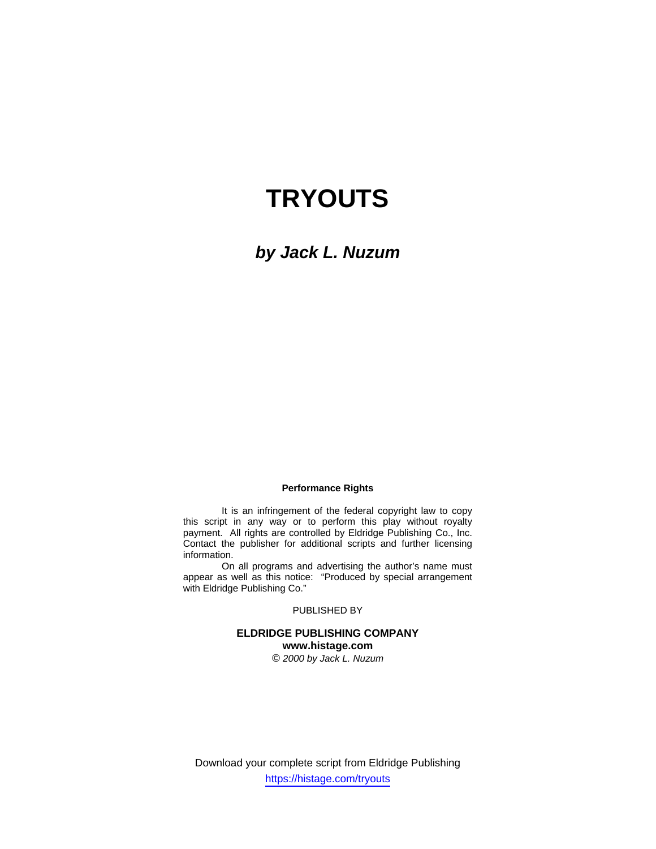# **TRYOUTS**

*by Jack L. Nuzum* 

#### **Performance Rights**

 It is an infringement of the federal copyright law to copy this script in any way or to perform this play without royalty payment. All rights are controlled by Eldridge Publishing Co., Inc. Contact the publisher for additional scripts and further licensing information.

 On all programs and advertising the author's name must appear as well as this notice: "Produced by special arrangement with Eldridge Publishing Co."

## PUBLISHED BY

# **ELDRIDGE PUBLISHING COMPANY www.histage.com**

*© 2000 by Jack L. Nuzum*

Download your complete script from Eldridge Publishing https://histage.com/tryouts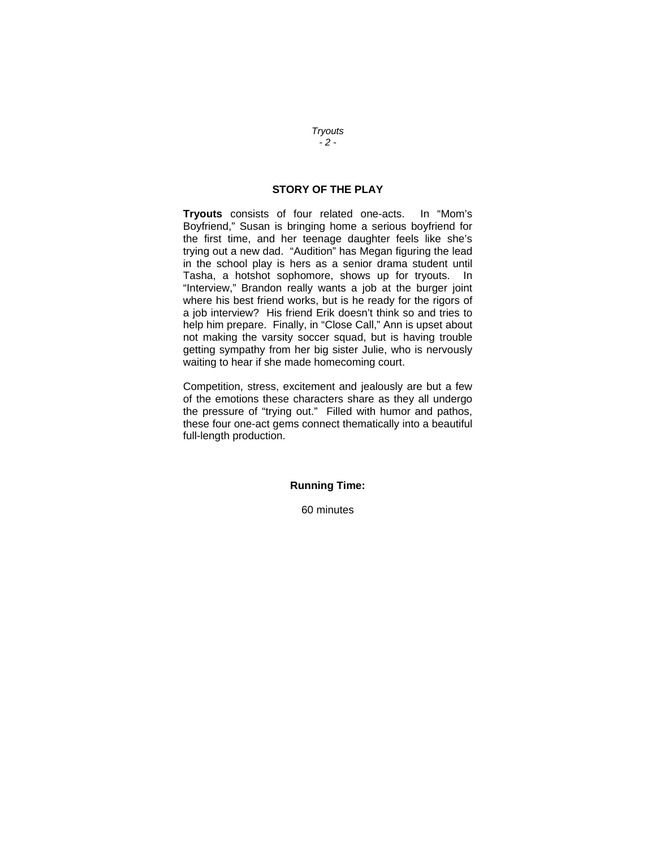# **STORY OF THE PLAY**

**Tryouts** consists of four related one-acts. In "Mom's Boyfriend," Susan is bringing home a serious boyfriend for the first time, and her teenage daughter feels like she's trying out a new dad. "Audition" has Megan figuring the lead in the school play is hers as a senior drama student until Tasha, a hotshot sophomore, shows up for tryouts. In "Interview," Brandon really wants a job at the burger joint where his best friend works, but is he ready for the rigors of a job interview? His friend Erik doesn't think so and tries to help him prepare. Finally, in "Close Call," Ann is upset about not making the varsity soccer squad, but is having trouble getting sympathy from her big sister Julie, who is nervously waiting to hear if she made homecoming court.

Competition, stress, excitement and jealously are but a few of the emotions these characters share as they all undergo the pressure of "trying out." Filled with humor and pathos, these four one-act gems connect thematically into a beautiful full-length production.

# **Running Time:**

60 minutes

*Tryouts - 2 -*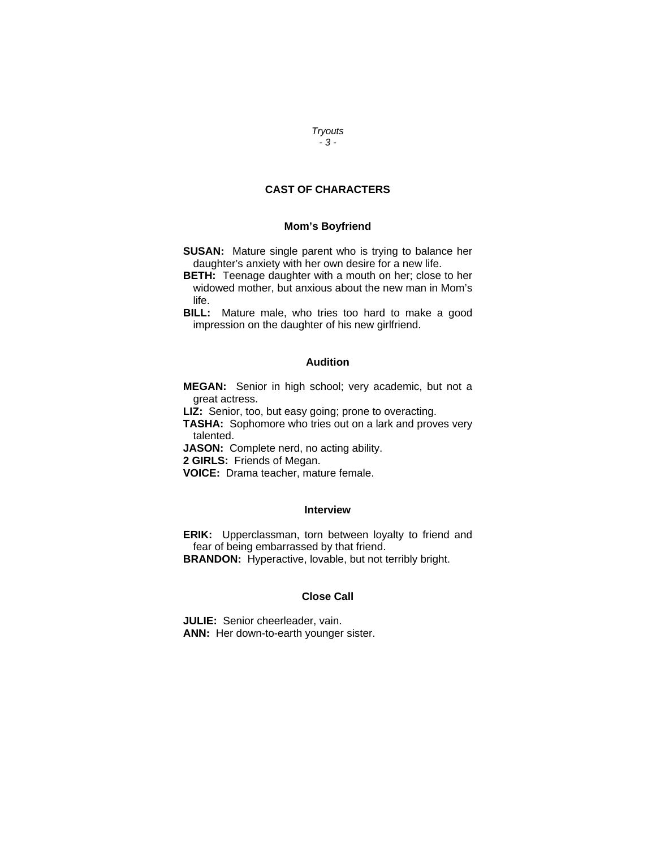#### *Tryouts - 3 -*

# **CAST OF CHARACTERS**

## **Mom's Boyfriend**

- **SUSAN:** Mature single parent who is trying to balance her daughter's anxiety with her own desire for a new life.
- **BETH:** Teenage daughter with a mouth on her; close to her widowed mother, but anxious about the new man in Mom's life.

**BILL:** Mature male, who tries too hard to make a good impression on the daughter of his new girlfriend.

## **Audition**

**MEGAN:** Senior in high school; very academic, but not a great actress.

**LIZ:** Senior, too, but easy going; prone to overacting.

**TASHA:** Sophomore who tries out on a lark and proves very talented.

JASON: Complete nerd, no acting ability.

**2 GIRLS:** Friends of Megan.

**VOICE:** Drama teacher, mature female.

#### **Interview**

**ERIK:** Upperclassman, torn between loyalty to friend and fear of being embarrassed by that friend.

**BRANDON:** Hyperactive, lovable, but not terribly bright.

# **Close Call**

**JULIE:** Senior cheerleader, vain. **ANN:** Her down-to-earth younger sister.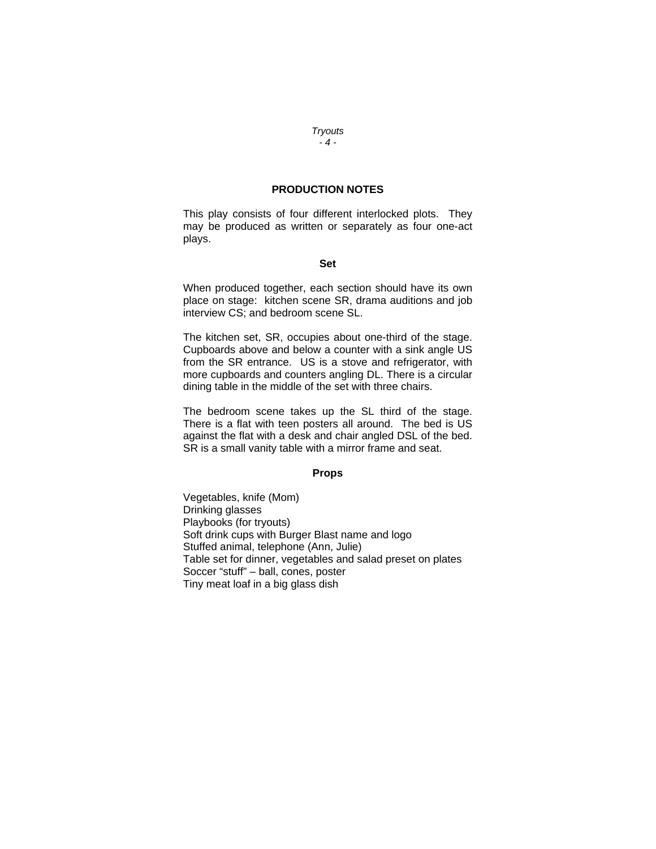## **PRODUCTION NOTES**

This play consists of four different interlocked plots. They may be produced as written or separately as four one-act plays.

#### **Set**

When produced together, each section should have its own place on stage: kitchen scene SR, drama auditions and job interview CS; and bedroom scene SL.

The kitchen set, SR, occupies about one-third of the stage. Cupboards above and below a counter with a sink angle US from the SR entrance. US is a stove and refrigerator, with more cupboards and counters angling DL. There is a circular dining table in the middle of the set with three chairs.

The bedroom scene takes up the SL third of the stage. There is a flat with teen posters all around. The bed is US against the flat with a desk and chair angled DSL of the bed. SR is a small vanity table with a mirror frame and seat.

## **Props**

Vegetables, knife (Mom) Drinking glasses Playbooks (for tryouts) Soft drink cups with Burger Blast name and logo Stuffed animal, telephone (Ann, Julie) Table set for dinner, vegetables and salad preset on plates Soccer "stuff" – ball, cones, poster Tiny meat loaf in a big glass dish

#### *Tryouts - 4 -*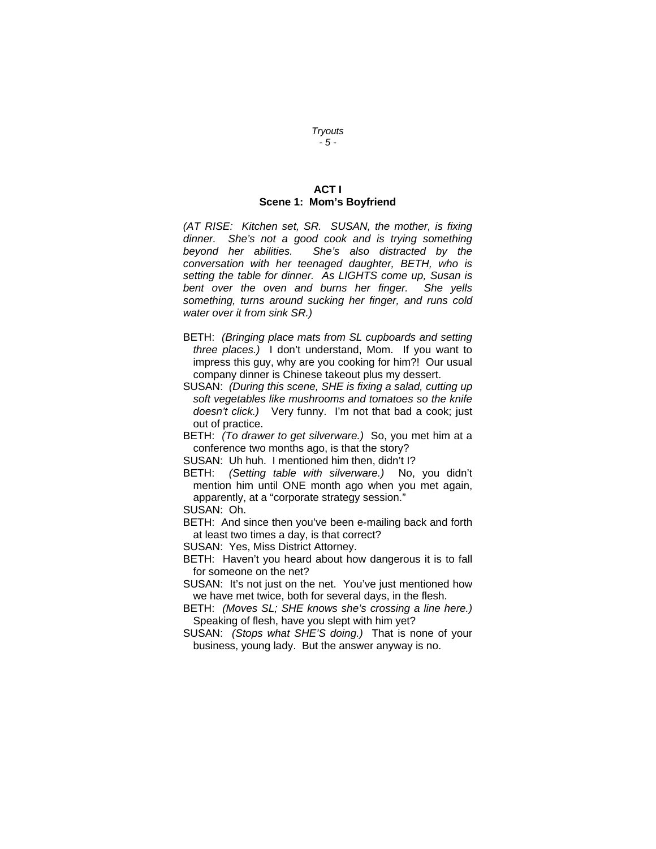## **ACT I Scene 1: Mom's Boyfriend**

*(AT RISE: Kitchen set, SR. SUSAN, the mother, is fixing dinner. She's not a good cook and is trying something beyond her abilities. She's also distracted by the conversation with her teenaged daughter, BETH, who is setting the table for dinner. As LIGHTS come up, Susan is bent over the oven and burns her finger. She yells something, turns around sucking her finger, and runs cold water over it from sink SR.)*

- BETH: *(Bringing place mats from SL cupboards and setting three places.)* I don't understand, Mom. If you want to impress this guy, why are you cooking for him?! Our usual company dinner is Chinese takeout plus my dessert.
- SUSAN: *(During this scene, SHE is fixing a salad, cutting up soft vegetables like mushrooms and tomatoes so the knife doesn't click.)* Very funny. I'm not that bad a cook; just out of practice.
- BETH: *(To drawer to get silverware.)* So, you met him at a conference two months ago, is that the story?
- SUSAN: Uh huh. I mentioned him then, didn't I?
- BETH: *(Setting table with silverware.)* No, you didn't mention him until ONE month ago when you met again, apparently, at a "corporate strategy session."

SUSAN: Oh.

BETH: And since then you've been e-mailing back and forth at least two times a day, is that correct?

SUSAN: Yes, Miss District Attorney.

- BETH: Haven't you heard about how dangerous it is to fall for someone on the net?
- SUSAN: It's not just on the net. You've just mentioned how we have met twice, both for several days, in the flesh.
- BETH: *(Moves SL; SHE knows she's crossing a line here.)* Speaking of flesh, have you slept with him yet?
- SUSAN: *(Stops what SHE'S doing.)* That is none of your business, young lady. But the answer anyway is no.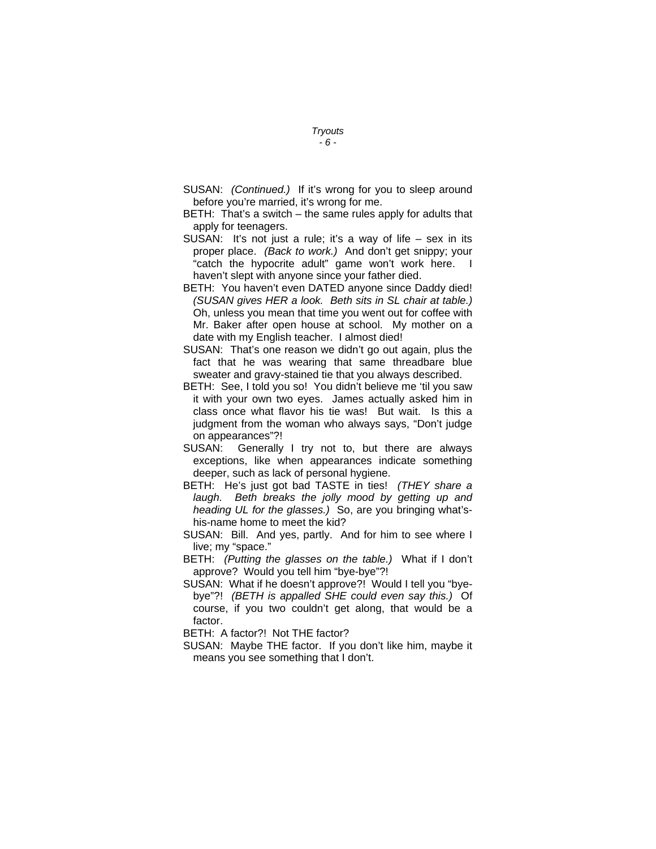- SUSAN: *(Continued.)* If it's wrong for you to sleep around before you're married, it's wrong for me.
- BETH: That's a switch the same rules apply for adults that apply for teenagers.
- SUSAN: It's not just a rule; it's a way of life  $-$  sex in its proper place. *(Back to work.)* And don't get snippy; your "catch the hypocrite adult" game won't work here. I haven't slept with anyone since your father died.
- BETH: You haven't even DATED anyone since Daddy died! *(SUSAN gives HER a look. Beth sits in SL chair at table.)* Oh, unless you mean that time you went out for coffee with Mr. Baker after open house at school. My mother on a date with my English teacher. I almost died!
- SUSAN: That's one reason we didn't go out again, plus the fact that he was wearing that same threadbare blue sweater and gravy-stained tie that you always described.
- BETH: See, I told you so! You didn't believe me 'til you saw it with your own two eyes. James actually asked him in class once what flavor his tie was! But wait. Is this a judgment from the woman who always says, "Don't judge on appearances"?!
- SUSAN: Generally I try not to, but there are always exceptions, like when appearances indicate something deeper, such as lack of personal hygiene.
- BETH: He's just got bad TASTE in ties! *(THEY share a laugh. Beth breaks the jolly mood by getting up and heading UL for the glasses.)* So, are you bringing what'shis-name home to meet the kid?
- SUSAN: Bill. And yes, partly. And for him to see where I live; my "space."
- BETH: *(Putting the glasses on the table.)* What if I don't approve? Would you tell him "bye-bye"?!
- SUSAN: What if he doesn't approve?! Would I tell you "byebye"?! *(BETH is appalled SHE could even say this.)* Of course, if you two couldn't get along, that would be a factor.
- BETH: A factor?! Not THE factor?
- SUSAN: Maybe THE factor. If you don't like him, maybe it means you see something that I don't.